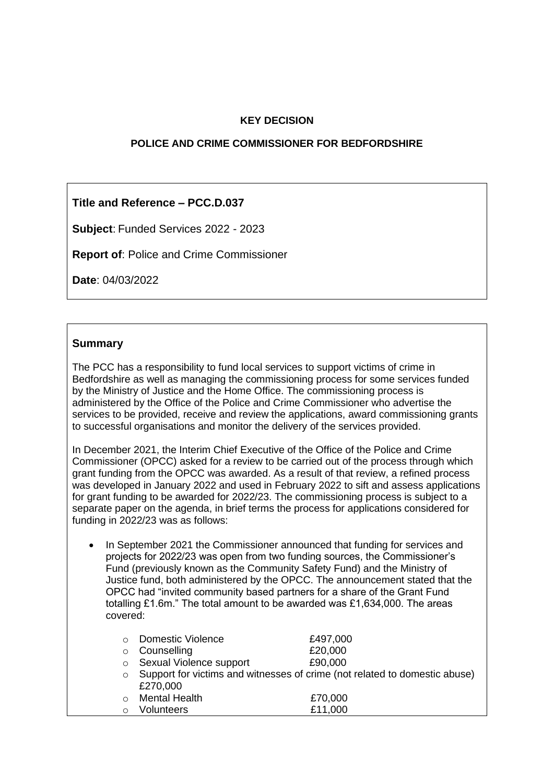### **KEY DECISION**

#### **POLICE AND CRIME COMMISSIONER FOR BEDFORDSHIRE**

### **Title and Reference – PCC.D.037**

**Subject**: Funded Services 2022 - 2023

**Report of**: Police and Crime Commissioner

**Date**: 04/03/2022

#### **Summary**

The PCC has a responsibility to fund local services to support victims of crime in Bedfordshire as well as managing the commissioning process for some services funded by the Ministry of Justice and the Home Office. The commissioning process is administered by the Office of the Police and Crime Commissioner who advertise the services to be provided, receive and review the applications, award commissioning grants to successful organisations and monitor the delivery of the services provided.

In December 2021, the Interim Chief Executive of the Office of the Police and Crime Commissioner (OPCC) asked for a review to be carried out of the process through which grant funding from the OPCC was awarded. As a result of that review, a refined process was developed in January 2022 and used in February 2022 to sift and assess applications for grant funding to be awarded for 2022/23. The commissioning process is subject to a separate paper on the agenda, in brief terms the process for applications considered for funding in 2022/23 was as follows:

• In September 2021 the Commissioner announced that funding for services and projects for 2022/23 was open from two funding sources, the Commissioner's Fund (previously known as the Community Safety Fund) and the Ministry of Justice fund, both administered by the OPCC. The announcement stated that the OPCC had "invited community based partners for a share of the Grant Fund totalling £1.6m." The total amount to be awarded was £1,634,000. The areas covered:

|         | Domestic Violence       | £497,000                                                                   |
|---------|-------------------------|----------------------------------------------------------------------------|
| $\circ$ | Counselling             | £20,000                                                                    |
| $\circ$ | Sexual Violence support | £90,000                                                                    |
| $\circ$ |                         | Support for victims and witnesses of crime (not related to domestic abuse) |
|         | £270,000                |                                                                            |
| $\cap$  | <b>Mental Health</b>    | £70,000                                                                    |
|         | <b>Volunteers</b>       | £11,000                                                                    |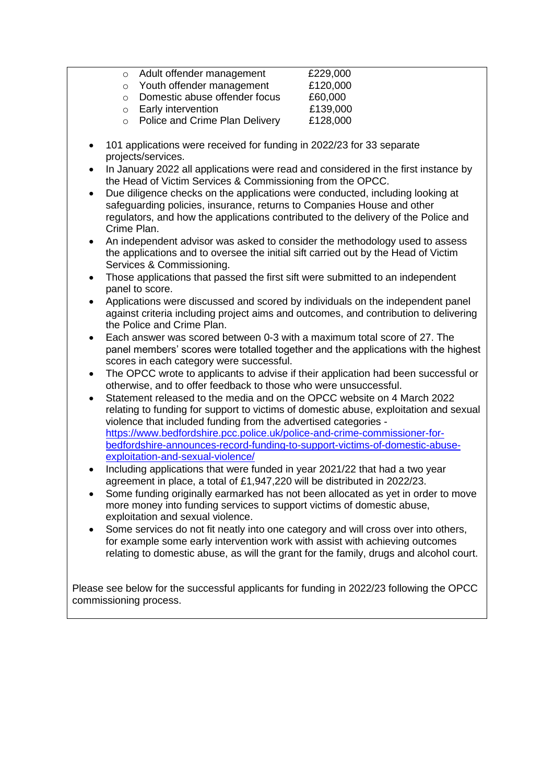| $\circ$ | Adult offender management      | £229,000 |
|---------|--------------------------------|----------|
| $\circ$ | Youth offender management      | £120,000 |
| $\cap$  | Domestic abuse offender focus  | £60,000  |
| $\circ$ | <b>Early intervention</b>      | £139,000 |
| $\circ$ | Police and Crime Plan Delivery | £128,000 |

- 101 applications were received for funding in 2022/23 for 33 separate projects/services.
- In January 2022 all applications were read and considered in the first instance by the Head of Victim Services & Commissioning from the OPCC.
- Due diligence checks on the applications were conducted, including looking at safeguarding policies, insurance, returns to Companies House and other regulators, and how the applications contributed to the delivery of the Police and Crime Plan.
- An independent advisor was asked to consider the methodology used to assess the applications and to oversee the initial sift carried out by the Head of Victim Services & Commissioning.
- Those applications that passed the first sift were submitted to an independent panel to score.
- Applications were discussed and scored by individuals on the independent panel against criteria including project aims and outcomes, and contribution to delivering the Police and Crime Plan.
- Each answer was scored between 0-3 with a maximum total score of 27. The panel members' scores were totalled together and the applications with the highest scores in each category were successful.
- The OPCC wrote to applicants to advise if their application had been successful or otherwise, and to offer feedback to those who were unsuccessful.
- Statement released to the media and on the OPCC website on 4 March 2022 relating to funding for support to victims of domestic abuse, exploitation and sexual violence that included funding from the advertised categories [https://www.bedfordshire.pcc.police.uk/police-and-crime-commissioner-for](https://gbr01.safelinks.protection.outlook.com/?url=https%3A%2F%2Fwww.bedfordshire.pcc.police.uk%2Fpolice-and-crime-commissioner-for-bedfordshire-announces-record-funding-to-support-victims-of-domestic-abuse-exploitation-and-sexual-violence%2F&data=04%7C01%7CBethany.Coles%40beds.police.uk%7C48dedbfc9cd94329e94c08da10b749c5%7Ca3c59d1bb8f142999d6a39ad8f570422%7C0%7C0%7C637840676788878742%7CUnknown%7CTWFpbGZsb3d8eyJWIjoiMC4wLjAwMDAiLCJQIjoiV2luMzIiLCJBTiI6Ik1haWwiLCJXVCI6Mn0%3D%7C3000&sdata=YbVcAzpLVcoSAGg9XuOvt2%2BqIADh%2FsRQlFjDS5WePt4%3D&reserved=0)[bedfordshire-announces-record-funding-to-support-victims-of-domestic-abuse](https://gbr01.safelinks.protection.outlook.com/?url=https%3A%2F%2Fwww.bedfordshire.pcc.police.uk%2Fpolice-and-crime-commissioner-for-bedfordshire-announces-record-funding-to-support-victims-of-domestic-abuse-exploitation-and-sexual-violence%2F&data=04%7C01%7CBethany.Coles%40beds.police.uk%7C48dedbfc9cd94329e94c08da10b749c5%7Ca3c59d1bb8f142999d6a39ad8f570422%7C0%7C0%7C637840676788878742%7CUnknown%7CTWFpbGZsb3d8eyJWIjoiMC4wLjAwMDAiLCJQIjoiV2luMzIiLCJBTiI6Ik1haWwiLCJXVCI6Mn0%3D%7C3000&sdata=YbVcAzpLVcoSAGg9XuOvt2%2BqIADh%2FsRQlFjDS5WePt4%3D&reserved=0)[exploitation-and-sexual-violence/](https://gbr01.safelinks.protection.outlook.com/?url=https%3A%2F%2Fwww.bedfordshire.pcc.police.uk%2Fpolice-and-crime-commissioner-for-bedfordshire-announces-record-funding-to-support-victims-of-domestic-abuse-exploitation-and-sexual-violence%2F&data=04%7C01%7CBethany.Coles%40beds.police.uk%7C48dedbfc9cd94329e94c08da10b749c5%7Ca3c59d1bb8f142999d6a39ad8f570422%7C0%7C0%7C637840676788878742%7CUnknown%7CTWFpbGZsb3d8eyJWIjoiMC4wLjAwMDAiLCJQIjoiV2luMzIiLCJBTiI6Ik1haWwiLCJXVCI6Mn0%3D%7C3000&sdata=YbVcAzpLVcoSAGg9XuOvt2%2BqIADh%2FsRQlFjDS5WePt4%3D&reserved=0)
- Including applications that were funded in year 2021/22 that had a two year agreement in place, a total of £1,947,220 will be distributed in 2022/23.
- Some funding originally earmarked has not been allocated as yet in order to move more money into funding services to support victims of domestic abuse, exploitation and sexual violence.
- Some services do not fit neatly into one category and will cross over into others, for example some early intervention work with assist with achieving outcomes relating to domestic abuse, as will the grant for the family, drugs and alcohol court.

Please see below for the successful applicants for funding in 2022/23 following the OPCC commissioning process.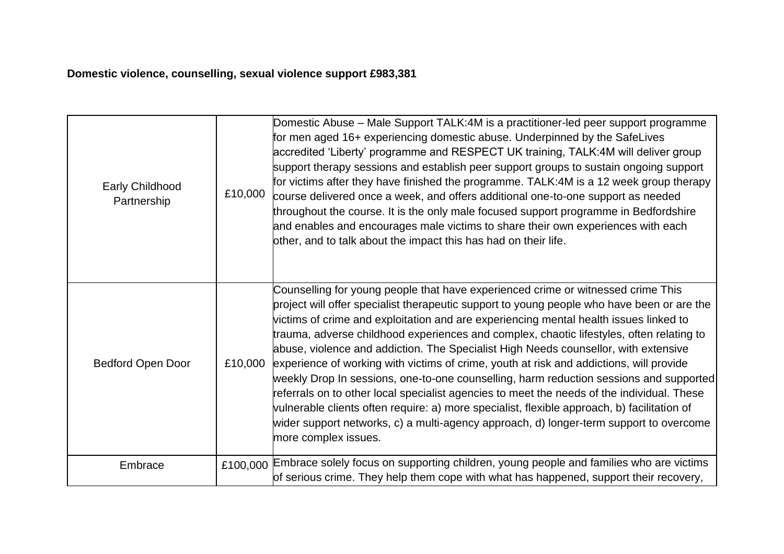# **Domestic violence, counselling, sexual violence support £983,381**

| Early Childhood<br>Partnership | £10,000  | Domestic Abuse – Male Support TALK:4M is a practitioner-led peer support programme<br>for men aged 16+ experiencing domestic abuse. Underpinned by the SafeLives<br>accredited 'Liberty' programme and RESPECT UK training, TALK:4M will deliver group<br>support therapy sessions and establish peer support groups to sustain ongoing support<br>for victims after they have finished the programme. TALK:4M is a 12 week group therapy<br>course delivered once a week, and offers additional one-to-one support as needed<br>throughout the course. It is the only male focused support programme in Bedfordshire<br>and enables and encourages male victims to share their own experiences with each<br>other, and to talk about the impact this has had on their life.                                                                                                                                                                                   |
|--------------------------------|----------|----------------------------------------------------------------------------------------------------------------------------------------------------------------------------------------------------------------------------------------------------------------------------------------------------------------------------------------------------------------------------------------------------------------------------------------------------------------------------------------------------------------------------------------------------------------------------------------------------------------------------------------------------------------------------------------------------------------------------------------------------------------------------------------------------------------------------------------------------------------------------------------------------------------------------------------------------------------|
| <b>Bedford Open Door</b>       | £10,000  | Counselling for young people that have experienced crime or witnessed crime This<br>project will offer specialist therapeutic support to young people who have been or are the<br>victims of crime and exploitation and are experiencing mental health issues linked to<br>trauma, adverse childhood experiences and complex, chaotic lifestyles, often relating to<br>abuse, violence and addiction. The Specialist High Needs counsellor, with extensive<br>experience of working with victims of crime, youth at risk and addictions, will provide<br>weekly Drop In sessions, one-to-one counselling, harm reduction sessions and supported<br>referrals on to other local specialist agencies to meet the needs of the individual. These<br>vulnerable clients often require: a) more specialist, flexible approach, b) facilitation of<br>wider support networks, c) a multi-agency approach, d) longer-term support to overcome<br>more complex issues. |
| Embrace                        | £100,000 | Embrace solely focus on supporting children, young people and families who are victims<br>of serious crime. They help them cope with what has happened, support their recovery,                                                                                                                                                                                                                                                                                                                                                                                                                                                                                                                                                                                                                                                                                                                                                                                |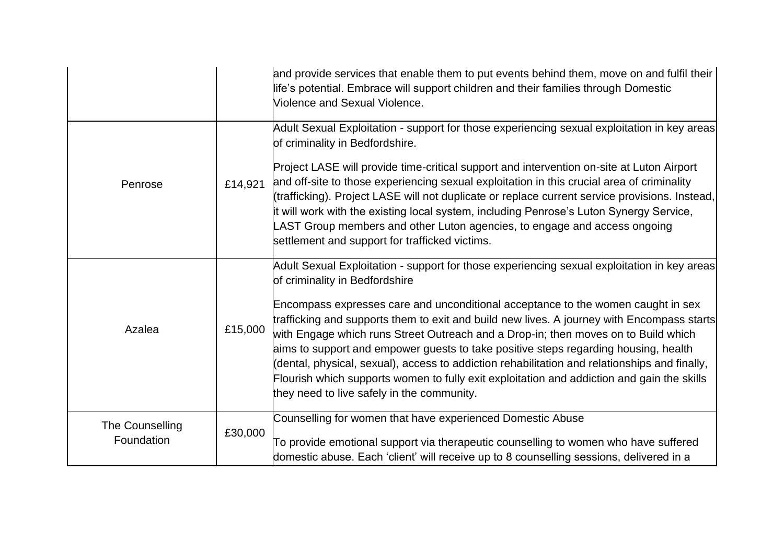|                 |         | and provide services that enable them to put events behind them, move on and fulfil their<br>life's potential. Embrace will support children and their families through Domestic<br>Violence and Sexual Violence.                                                                                                                                                                                                                                                                                                                                                                                        |
|-----------------|---------|----------------------------------------------------------------------------------------------------------------------------------------------------------------------------------------------------------------------------------------------------------------------------------------------------------------------------------------------------------------------------------------------------------------------------------------------------------------------------------------------------------------------------------------------------------------------------------------------------------|
|                 |         | Adult Sexual Exploitation - support for those experiencing sexual exploitation in key areas<br>of criminality in Bedfordshire.                                                                                                                                                                                                                                                                                                                                                                                                                                                                           |
| Penrose         | £14,921 | Project LASE will provide time-critical support and intervention on-site at Luton Airport<br>and off-site to those experiencing sexual exploitation in this crucial area of criminality<br>(trafficking). Project LASE will not duplicate or replace current service provisions. Instead,<br>it will work with the existing local system, including Penrose's Luton Synergy Service,<br>LAST Group members and other Luton agencies, to engage and access ongoing<br>settlement and support for trafficked victims.                                                                                      |
|                 |         | Adult Sexual Exploitation - support for those experiencing sexual exploitation in key areas<br>of criminality in Bedfordshire                                                                                                                                                                                                                                                                                                                                                                                                                                                                            |
| Azalea          | £15,000 | Encompass expresses care and unconditional acceptance to the women caught in sex<br>trafficking and supports them to exit and build new lives. A journey with Encompass starts<br>with Engage which runs Street Outreach and a Drop-in; then moves on to Build which<br>aims to support and empower guests to take positive steps regarding housing, health<br>(dental, physical, sexual), access to addiction rehabilitation and relationships and finally,<br>Flourish which supports women to fully exit exploitation and addiction and gain the skills<br>they need to live safely in the community. |
| The Counselling | £30,000 | Counselling for women that have experienced Domestic Abuse                                                                                                                                                                                                                                                                                                                                                                                                                                                                                                                                               |
| Foundation      |         | To provide emotional support via therapeutic counselling to women who have suffered<br>domestic abuse. Each 'client' will receive up to 8 counselling sessions, delivered in a                                                                                                                                                                                                                                                                                                                                                                                                                           |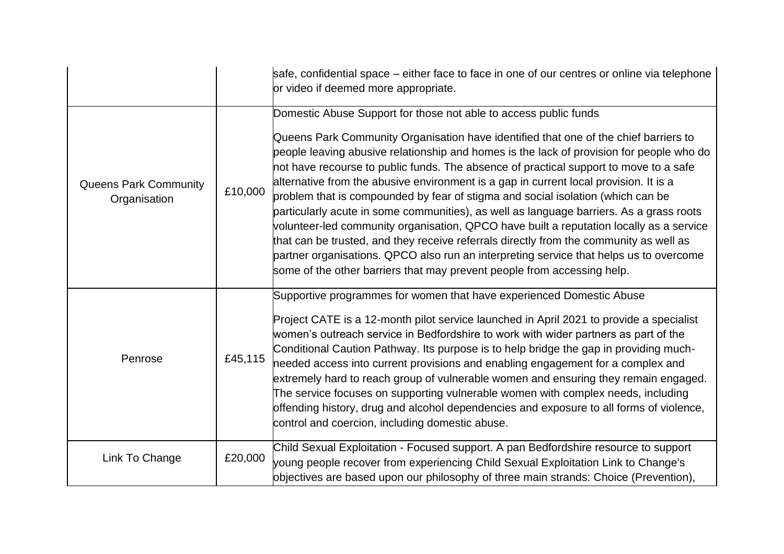|                                              |         | safe, confidential space – either face to face in one of our centres or online via telephone<br>or video if deemed more appropriate.                                                                                                                                                                                                                                                                                                                                                                                                                                                                                                                                                                                                                                                                                                                                                                                                                                           |
|----------------------------------------------|---------|--------------------------------------------------------------------------------------------------------------------------------------------------------------------------------------------------------------------------------------------------------------------------------------------------------------------------------------------------------------------------------------------------------------------------------------------------------------------------------------------------------------------------------------------------------------------------------------------------------------------------------------------------------------------------------------------------------------------------------------------------------------------------------------------------------------------------------------------------------------------------------------------------------------------------------------------------------------------------------|
| <b>Queens Park Community</b><br>Organisation | £10,000 | Domestic Abuse Support for those not able to access public funds<br>Queens Park Community Organisation have identified that one of the chief barriers to<br>people leaving abusive relationship and homes is the lack of provision for people who do<br>not have recourse to public funds. The absence of practical support to move to a safe<br>alternative from the abusive environment is a gap in current local provision. It is a<br>problem that is compounded by fear of stigma and social isolation (which can be<br>particularly acute in some communities), as well as language barriers. As a grass roots<br>volunteer-led community organisation, QPCO have built a reputation locally as a service<br>that can be trusted, and they receive referrals directly from the community as well as<br>partner organisations. QPCO also run an interpreting service that helps us to overcome<br>some of the other barriers that may prevent people from accessing help. |
| Penrose                                      | £45,115 | Supportive programmes for women that have experienced Domestic Abuse<br>Project CATE is a 12-month pilot service launched in April 2021 to provide a specialist<br>women's outreach service in Bedfordshire to work with wider partners as part of the<br>Conditional Caution Pathway. Its purpose is to help bridge the gap in providing much-<br>needed access into current provisions and enabling engagement for a complex and<br>extremely hard to reach group of vulnerable women and ensuring they remain engaged.<br>The service focuses on supporting vulnerable women with complex needs, including<br>offending history, drug and alcohol dependencies and exposure to all forms of violence,<br>control and coercion, including domestic abuse.                                                                                                                                                                                                                    |
| Link To Change                               | £20,000 | Child Sexual Exploitation - Focused support. A pan Bedfordshire resource to support<br>young people recover from experiencing Child Sexual Exploitation Link to Change's<br>objectives are based upon our philosophy of three main strands: Choice (Prevention),                                                                                                                                                                                                                                                                                                                                                                                                                                                                                                                                                                                                                                                                                                               |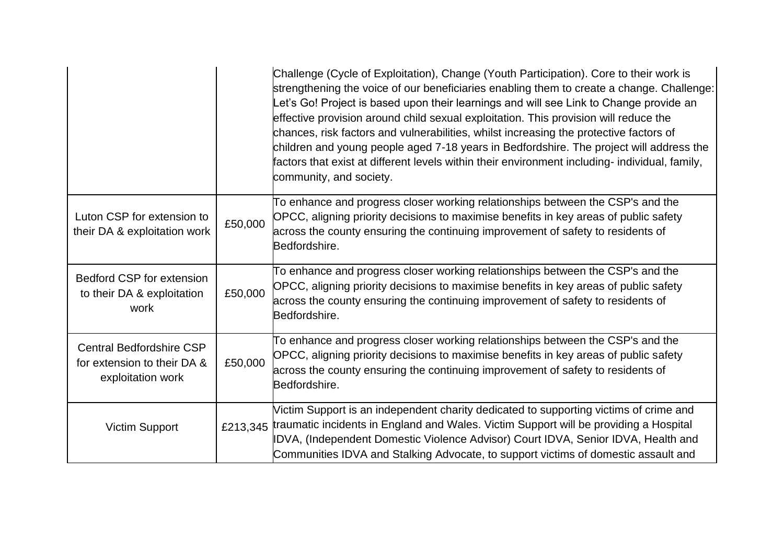|                                                                                     |         | Challenge (Cycle of Exploitation), Change (Youth Participation). Core to their work is<br>strengthening the voice of our beneficiaries enabling them to create a change. Challenge:<br>et's Go! Project is based upon their learnings and will see Link to Change provide an<br>effective provision around child sexual exploitation. This provision will reduce the<br>chances, risk factors and vulnerabilities, whilst increasing the protective factors of<br>children and young people aged 7-18 years in Bedfordshire. The project will address the<br>factors that exist at different levels within their environment including- individual, family,<br>community, and society. |
|-------------------------------------------------------------------------------------|---------|----------------------------------------------------------------------------------------------------------------------------------------------------------------------------------------------------------------------------------------------------------------------------------------------------------------------------------------------------------------------------------------------------------------------------------------------------------------------------------------------------------------------------------------------------------------------------------------------------------------------------------------------------------------------------------------|
| Luton CSP for extension to<br>their DA & exploitation work                          | £50,000 | To enhance and progress closer working relationships between the CSP's and the<br>OPCC, aligning priority decisions to maximise benefits in key areas of public safety<br>across the county ensuring the continuing improvement of safety to residents of<br>Bedfordshire.                                                                                                                                                                                                                                                                                                                                                                                                             |
| <b>Bedford CSP for extension</b><br>to their DA & exploitation<br>work              | £50,000 | To enhance and progress closer working relationships between the CSP's and the<br>OPCC, aligning priority decisions to maximise benefits in key areas of public safety<br>across the county ensuring the continuing improvement of safety to residents of<br>Bedfordshire.                                                                                                                                                                                                                                                                                                                                                                                                             |
| <b>Central Bedfordshire CSP</b><br>for extension to their DA &<br>exploitation work | £50,000 | To enhance and progress closer working relationships between the CSP's and the<br>OPCC, aligning priority decisions to maximise benefits in key areas of public safety<br>across the county ensuring the continuing improvement of safety to residents of<br>Bedfordshire.                                                                                                                                                                                                                                                                                                                                                                                                             |
| <b>Victim Support</b>                                                               |         | Victim Support is an independent charity dedicated to supporting victims of crime and<br>£213,345 traumatic incidents in England and Wales. Victim Support will be providing a Hospital<br>IDVA, (Independent Domestic Violence Advisor) Court IDVA, Senior IDVA, Health and<br>Communities IDVA and Stalking Advocate, to support victims of domestic assault and                                                                                                                                                                                                                                                                                                                     |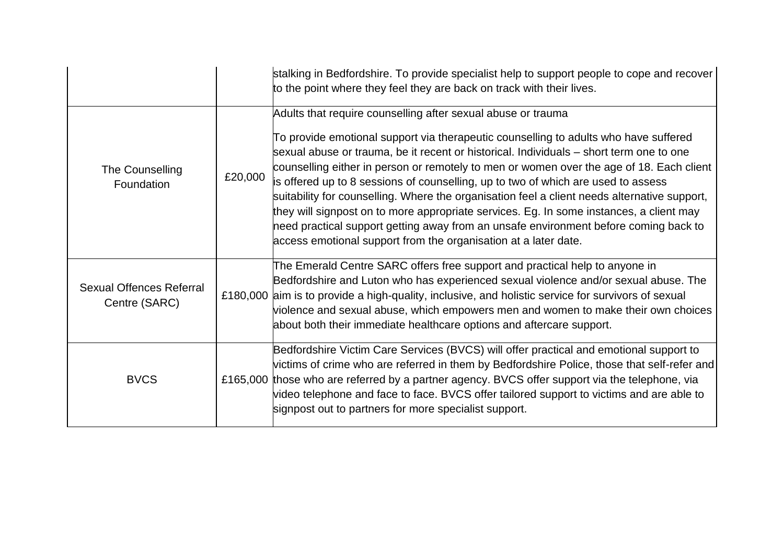|                                                  |         | stalking in Bedfordshire. To provide specialist help to support people to cope and recover<br>to the point where they feel they are back on track with their lives.                                                                                                                                                                                                                                                                                                                                                                                                                                                                                                                                                                                                                    |
|--------------------------------------------------|---------|----------------------------------------------------------------------------------------------------------------------------------------------------------------------------------------------------------------------------------------------------------------------------------------------------------------------------------------------------------------------------------------------------------------------------------------------------------------------------------------------------------------------------------------------------------------------------------------------------------------------------------------------------------------------------------------------------------------------------------------------------------------------------------------|
| The Counselling<br>Foundation                    | £20,000 | Adults that require counselling after sexual abuse or trauma<br>To provide emotional support via therapeutic counselling to adults who have suffered<br>sexual abuse or trauma, be it recent or historical. Individuals – short term one to one<br>counselling either in person or remotely to men or women over the age of 18. Each client<br>is offered up to 8 sessions of counselling, up to two of which are used to assess<br>suitability for counselling. Where the organisation feel a client needs alternative support,<br>they will signpost on to more appropriate services. Eg. In some instances, a client may<br>heed practical support getting away from an unsafe environment before coming back to<br>access emotional support from the organisation at a later date. |
| <b>Sexual Offences Referral</b><br>Centre (SARC) |         | The Emerald Centre SARC offers free support and practical help to anyone in<br>Bedfordshire and Luton who has experienced sexual violence and/or sexual abuse. The<br>£180,000 aim is to provide a high-quality, inclusive, and holistic service for survivors of sexual<br>violence and sexual abuse, which empowers men and women to make their own choices<br>about both their immediate healthcare options and aftercare support.                                                                                                                                                                                                                                                                                                                                                  |
| <b>BVCS</b>                                      |         | Bedfordshire Victim Care Services (BVCS) will offer practical and emotional support to<br>victims of crime who are referred in them by Bedfordshire Police, those that self-refer and<br>£165,000 those who are referred by a partner agency. BVCS offer support via the telephone, via<br>video telephone and face to face. BVCS offer tailored support to victims and are able to<br>signpost out to partners for more specialist support.                                                                                                                                                                                                                                                                                                                                           |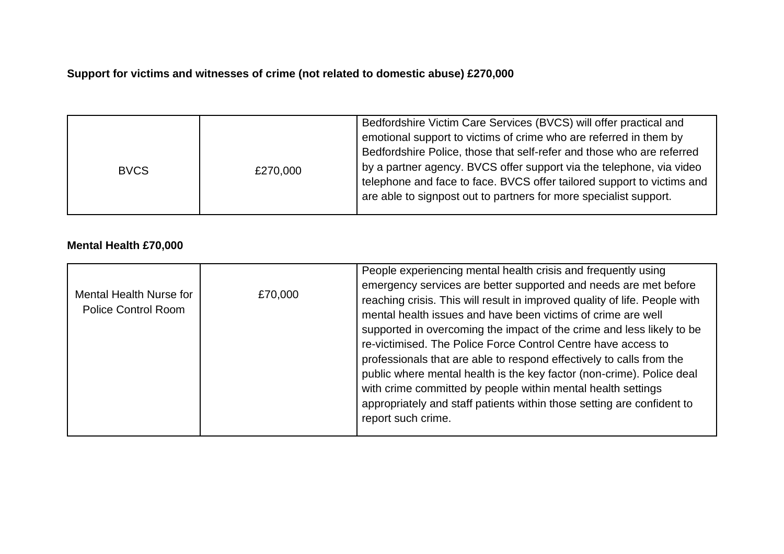## **Support for victims and witnesses of crime (not related to domestic abuse) £270,000**

| <b>BVCS</b> | £270,000 | Bedfordshire Victim Care Services (BVCS) will offer practical and<br>emotional support to victims of crime who are referred in them by<br>Bedfordshire Police, those that self-refer and those who are referred<br>by a partner agency. BVCS offer support via the telephone, via video<br>telephone and face to face. BVCS offer tailored support to victims and<br>are able to signpost out to partners for more specialist support. |
|-------------|----------|----------------------------------------------------------------------------------------------------------------------------------------------------------------------------------------------------------------------------------------------------------------------------------------------------------------------------------------------------------------------------------------------------------------------------------------|
|-------------|----------|----------------------------------------------------------------------------------------------------------------------------------------------------------------------------------------------------------------------------------------------------------------------------------------------------------------------------------------------------------------------------------------------------------------------------------------|

### **Mental Health £70,000**

| professionals that are able to respond effectively to calls from the<br>public where mental health is the key factor (non-crime). Police deal<br>with crime committed by people within mental health settings<br>appropriately and staff patients within those setting are confident to<br>report such crime. | Mental Health Nurse for<br>£70,000<br><b>Police Control Room</b> | emergency services are better supported and needs are met before<br>reaching crisis. This will result in improved quality of life. People with<br>mental health issues and have been victims of crime are well<br>supported in overcoming the impact of the crime and less likely to be<br>re-victimised. The Police Force Control Centre have access to |
|---------------------------------------------------------------------------------------------------------------------------------------------------------------------------------------------------------------------------------------------------------------------------------------------------------------|------------------------------------------------------------------|----------------------------------------------------------------------------------------------------------------------------------------------------------------------------------------------------------------------------------------------------------------------------------------------------------------------------------------------------------|
|---------------------------------------------------------------------------------------------------------------------------------------------------------------------------------------------------------------------------------------------------------------------------------------------------------------|------------------------------------------------------------------|----------------------------------------------------------------------------------------------------------------------------------------------------------------------------------------------------------------------------------------------------------------------------------------------------------------------------------------------------------|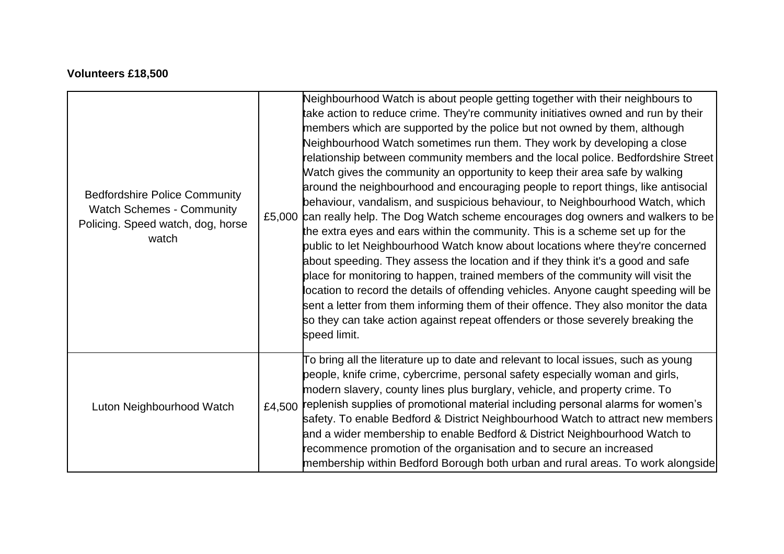## **Volunteers £18,500**

| <b>Bedfordshire Police Community</b><br><b>Watch Schemes - Community</b><br>Policing. Speed watch, dog, horse<br>watch | Neighbourhood Watch is about people getting together with their neighbours to<br>take action to reduce crime. They're community initiatives owned and run by their<br>members which are supported by the police but not owned by them, although<br>Neighbourhood Watch sometimes run them. They work by developing a close<br>relationship between community members and the local police. Bedfordshire Street<br>Watch gives the community an opportunity to keep their area safe by walking<br>around the neighbourhood and encouraging people to report things, like antisocial<br>behaviour, vandalism, and suspicious behaviour, to Neighbourhood Watch, which<br>£5,000 can really help. The Dog Watch scheme encourages dog owners and walkers to be<br>the extra eyes and ears within the community. This is a scheme set up for the<br>public to let Neighbourhood Watch know about locations where they're concerned<br>about speeding. They assess the location and if they think it's a good and safe<br>place for monitoring to happen, trained members of the community will visit the<br>location to record the details of offending vehicles. Anyone caught speeding will be<br>sent a letter from them informing them of their offence. They also monitor the data<br>so they can take action against repeat offenders or those severely breaking the<br>speed limit. |
|------------------------------------------------------------------------------------------------------------------------|----------------------------------------------------------------------------------------------------------------------------------------------------------------------------------------------------------------------------------------------------------------------------------------------------------------------------------------------------------------------------------------------------------------------------------------------------------------------------------------------------------------------------------------------------------------------------------------------------------------------------------------------------------------------------------------------------------------------------------------------------------------------------------------------------------------------------------------------------------------------------------------------------------------------------------------------------------------------------------------------------------------------------------------------------------------------------------------------------------------------------------------------------------------------------------------------------------------------------------------------------------------------------------------------------------------------------------------------------------------------------------------|
| Luton Neighbourhood Watch                                                                                              | To bring all the literature up to date and relevant to local issues, such as young<br>people, knife crime, cybercrime, personal safety especially woman and girls,<br>modern slavery, county lines plus burglary, vehicle, and property crime. To<br>£4,500 replenish supplies of promotional material including personal alarms for women's<br>safety. To enable Bedford & District Neighbourhood Watch to attract new members<br>and a wider membership to enable Bedford & District Neighbourhood Watch to<br>recommence promotion of the organisation and to secure an increased<br>membership within Bedford Borough both urban and rural areas. To work alongside                                                                                                                                                                                                                                                                                                                                                                                                                                                                                                                                                                                                                                                                                                                |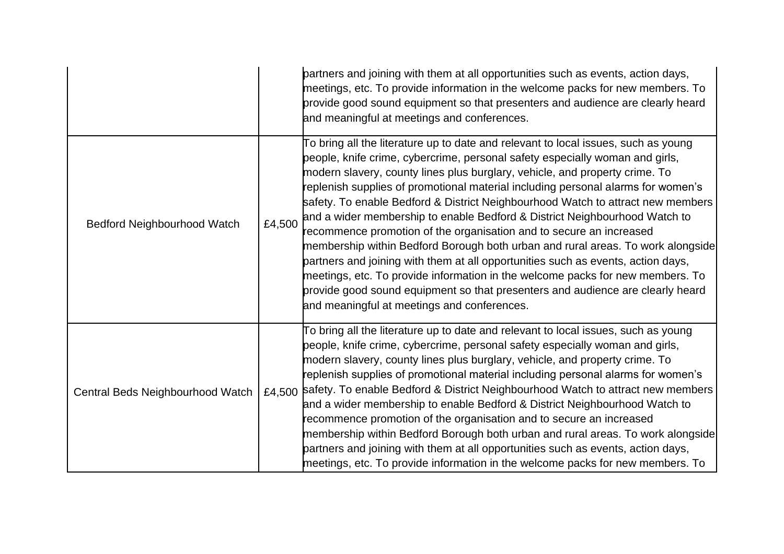|                                    |        | partners and joining with them at all opportunities such as events, action days,<br>meetings, etc. To provide information in the welcome packs for new members. To<br>provide good sound equipment so that presenters and audience are clearly heard<br>and meaningful at meetings and conferences.                                                                                                                                                                                                                                                                                                                                                                                                                                                                                                                                                                                                                                                                     |
|------------------------------------|--------|-------------------------------------------------------------------------------------------------------------------------------------------------------------------------------------------------------------------------------------------------------------------------------------------------------------------------------------------------------------------------------------------------------------------------------------------------------------------------------------------------------------------------------------------------------------------------------------------------------------------------------------------------------------------------------------------------------------------------------------------------------------------------------------------------------------------------------------------------------------------------------------------------------------------------------------------------------------------------|
| <b>Bedford Neighbourhood Watch</b> | £4,500 | To bring all the literature up to date and relevant to local issues, such as young<br>people, knife crime, cybercrime, personal safety especially woman and girls,<br>modern slavery, county lines plus burglary, vehicle, and property crime. To<br>replenish supplies of promotional material including personal alarms for women's<br>safety. To enable Bedford & District Neighbourhood Watch to attract new members<br>and a wider membership to enable Bedford & District Neighbourhood Watch to<br>recommence promotion of the organisation and to secure an increased<br>membership within Bedford Borough both urban and rural areas. To work alongside<br>partners and joining with them at all opportunities such as events, action days,<br>meetings, etc. To provide information in the welcome packs for new members. To<br>provide good sound equipment so that presenters and audience are clearly heard<br>and meaningful at meetings and conferences. |
| Central Beds Neighbourhood Watch   |        | To bring all the literature up to date and relevant to local issues, such as young<br>people, knife crime, cybercrime, personal safety especially woman and girls,<br>modern slavery, county lines plus burglary, vehicle, and property crime. To<br>replenish supplies of promotional material including personal alarms for women's<br>£4,500 safety. To enable Bedford & District Neighbourhood Watch to attract new members<br>and a wider membership to enable Bedford & District Neighbourhood Watch to<br>recommence promotion of the organisation and to secure an increased<br>membership within Bedford Borough both urban and rural areas. To work alongside<br>partners and joining with them at all opportunities such as events, action days,<br>meetings, etc. To provide information in the welcome packs for new members. To                                                                                                                           |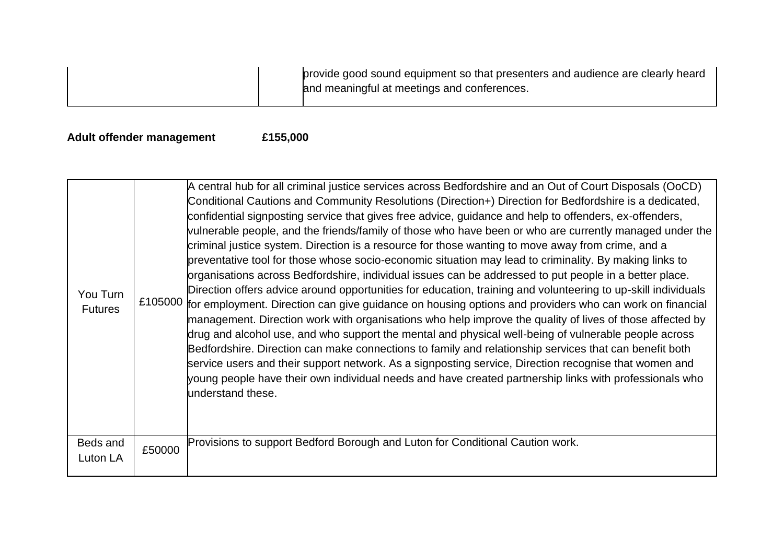provide good sound equipment so that presenters and audience are clearly heard and meaningful at meetings and conferences.

### **Adult offender management £155,000**

| You Turn<br><b>Futures</b> | £105000 | A central hub for all criminal justice services across Bedfordshire and an Out of Court Disposals (OoCD)<br>Conditional Cautions and Community Resolutions (Direction+) Direction for Bedfordshire is a dedicated,<br>confidential signposting service that gives free advice, guidance and help to offenders, ex-offenders,<br>vulnerable people, and the friends/family of those who have been or who are currently managed under the<br>criminal justice system. Direction is a resource for those wanting to move away from crime, and a<br>preventative tool for those whose socio-economic situation may lead to criminality. By making links to<br>organisations across Bedfordshire, individual issues can be addressed to put people in a better place.<br>Direction offers advice around opportunities for education, training and volunteering to up-skill individuals<br>for employment. Direction can give guidance on housing options and providers who can work on financial<br>management. Direction work with organisations who help improve the quality of lives of those affected by<br>drug and alcohol use, and who support the mental and physical well-being of vulnerable people across<br>Bedfordshire. Direction can make connections to family and relationship services that can benefit both<br>service users and their support network. As a signposting service, Direction recognise that women and<br>young people have their own individual needs and have created partnership links with professionals who<br>understand these. |
|----------------------------|---------|-------------------------------------------------------------------------------------------------------------------------------------------------------------------------------------------------------------------------------------------------------------------------------------------------------------------------------------------------------------------------------------------------------------------------------------------------------------------------------------------------------------------------------------------------------------------------------------------------------------------------------------------------------------------------------------------------------------------------------------------------------------------------------------------------------------------------------------------------------------------------------------------------------------------------------------------------------------------------------------------------------------------------------------------------------------------------------------------------------------------------------------------------------------------------------------------------------------------------------------------------------------------------------------------------------------------------------------------------------------------------------------------------------------------------------------------------------------------------------------------------------------------------------------------------------------------|
| Beds and<br>Luton LA       | £50000  | Provisions to support Bedford Borough and Luton for Conditional Caution work.                                                                                                                                                                                                                                                                                                                                                                                                                                                                                                                                                                                                                                                                                                                                                                                                                                                                                                                                                                                                                                                                                                                                                                                                                                                                                                                                                                                                                                                                                     |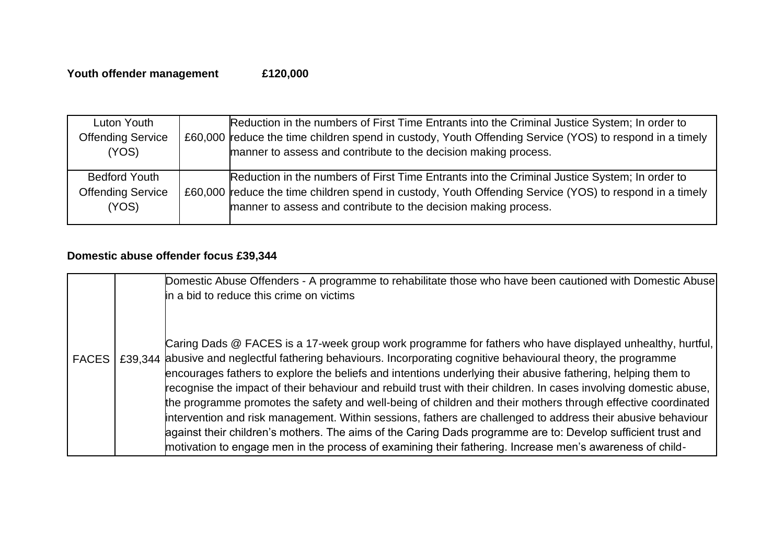| Luton Youth              | Reduction in the numbers of First Time Entrants into the Criminal Justice System; In order to           |
|--------------------------|---------------------------------------------------------------------------------------------------------|
| <b>Offending Service</b> | £60,000 reduce the time children spend in custody, Youth Offending Service (YOS) to respond in a timely |
| (YOS)                    | manner to assess and contribute to the decision making process.                                         |
|                          |                                                                                                         |
|                          |                                                                                                         |
| <b>Bedford Youth</b>     | Reduction in the numbers of First Time Entrants into the Criminal Justice System; In order to           |
| <b>Offending Service</b> | £60,000 reduce the time children spend in custody, Youth Offending Service (YOS) to respond in a timely |
| (YOS)                    | manner to assess and contribute to the decision making process.                                         |

# **Domestic abuse offender focus £39,344**

|              | Domestic Abuse Offenders - A programme to rehabilitate those who have been cautioned with Domestic Abuse<br>in a bid to reduce this crime on victims                                                                                                                                                                                                                                                                                                                                                                                                                                                                                                                                                                                                                                                                                                                                                                         |
|--------------|------------------------------------------------------------------------------------------------------------------------------------------------------------------------------------------------------------------------------------------------------------------------------------------------------------------------------------------------------------------------------------------------------------------------------------------------------------------------------------------------------------------------------------------------------------------------------------------------------------------------------------------------------------------------------------------------------------------------------------------------------------------------------------------------------------------------------------------------------------------------------------------------------------------------------|
| <b>FACES</b> | Caring Dads @ FACES is a 17-week group work programme for fathers who have displayed unhealthy, hurtful,<br>£39,344 abusive and neglectful fathering behaviours. Incorporating cognitive behavioural theory, the programme<br>encourages fathers to explore the beliefs and intentions underlying their abusive fathering, helping them to<br>recognise the impact of their behaviour and rebuild trust with their children. In cases involving domestic abuse,<br>the programme promotes the safety and well-being of children and their mothers through effective coordinated<br>intervention and risk management. Within sessions, fathers are challenged to address their abusive behaviour<br>lagainst their children's mothers. The aims of the Caring Dads programme are to: Develop sufficient trust and<br>motivation to engage men in the process of examining their fathering. Increase men's awareness of child- |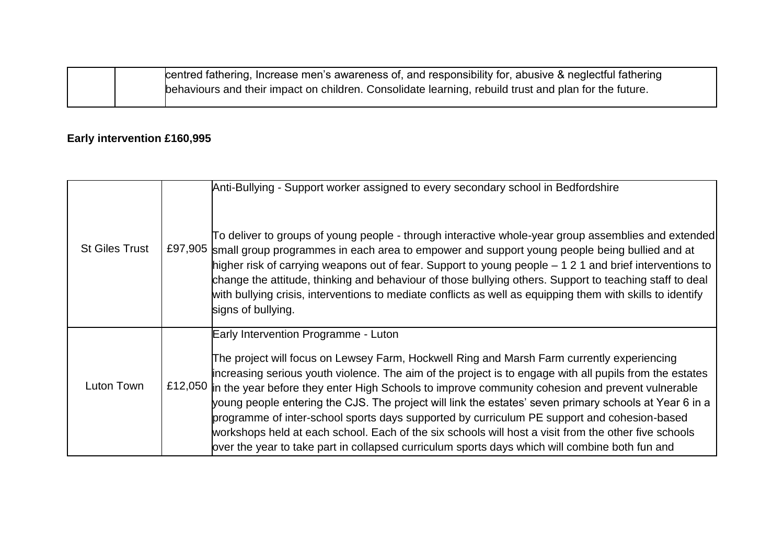| centred fathering, Increase men's awareness of, and responsibility for, abusive & neglectful fathering |
|--------------------------------------------------------------------------------------------------------|
| behaviours and their impact on children. Consolidate learning, rebuild trust and plan for the future.  |

# **Early intervention £160,995**

| <b>St Giles Trust</b> |         | Anti-Bullying - Support worker assigned to every secondary school in Bedfordshire<br>To deliver to groups of young people - through interactive whole-year group assemblies and extended<br>£97,905 small group programmes in each area to empower and support young people being bullied and at<br>higher risk of carrying weapons out of fear. Support to young people – 1 2 1 and brief interventions to<br>change the attitude, thinking and behaviour of those bullying others. Support to teaching staff to deal<br>with bullying crisis, interventions to mediate conflicts as well as equipping them with skills to identify<br>signs of bullying.                                                                                                          |
|-----------------------|---------|---------------------------------------------------------------------------------------------------------------------------------------------------------------------------------------------------------------------------------------------------------------------------------------------------------------------------------------------------------------------------------------------------------------------------------------------------------------------------------------------------------------------------------------------------------------------------------------------------------------------------------------------------------------------------------------------------------------------------------------------------------------------|
| Luton Town            | £12,050 | Early Intervention Programme - Luton<br>The project will focus on Lewsey Farm, Hockwell Ring and Marsh Farm currently experiencing<br>increasing serious youth violence. The aim of the project is to engage with all pupils from the estates<br>in the year before they enter High Schools to improve community cohesion and prevent vulnerable<br>young people entering the CJS. The project will link the estates' seven primary schools at Year 6 in a<br>programme of inter-school sports days supported by curriculum PE support and cohesion-based<br>workshops held at each school. Each of the six schools will host a visit from the other five schools<br>bver the year to take part in collapsed curriculum sports days which will combine both fun and |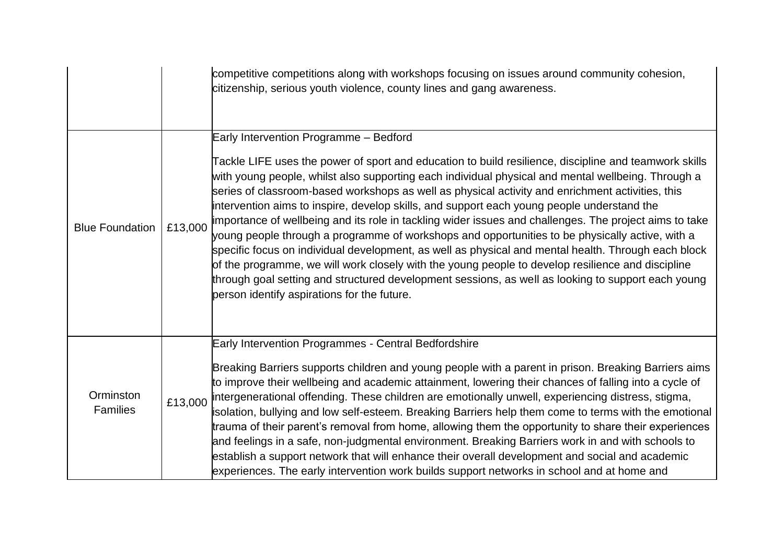|                              |         | competitive competitions along with workshops focusing on issues around community cohesion,<br>citizenship, serious youth violence, county lines and gang awareness.                                                                                                                                                                                                                                                                                                                                                                                                                                                                                                                                                                                                                                                                                                                                                                                                                                                                  |
|------------------------------|---------|---------------------------------------------------------------------------------------------------------------------------------------------------------------------------------------------------------------------------------------------------------------------------------------------------------------------------------------------------------------------------------------------------------------------------------------------------------------------------------------------------------------------------------------------------------------------------------------------------------------------------------------------------------------------------------------------------------------------------------------------------------------------------------------------------------------------------------------------------------------------------------------------------------------------------------------------------------------------------------------------------------------------------------------|
| <b>Blue Foundation</b>       | £13,000 | Early Intervention Programme - Bedford<br>Tackle LIFE uses the power of sport and education to build resilience, discipline and teamwork skills<br>with young people, whilst also supporting each individual physical and mental wellbeing. Through a<br>series of classroom-based workshops as well as physical activity and enrichment activities, this<br>intervention aims to inspire, develop skills, and support each young people understand the<br>importance of wellbeing and its role in tackling wider issues and challenges. The project aims to take<br>young people through a programme of workshops and opportunities to be physically active, with a<br>specific focus on individual development, as well as physical and mental health. Through each block<br>of the programme, we will work closely with the young people to develop resilience and discipline<br>through goal setting and structured development sessions, as well as looking to support each young<br>person identify aspirations for the future. |
| Orminston<br><b>Families</b> | £13,000 | Early Intervention Programmes - Central Bedfordshire<br>Breaking Barriers supports children and young people with a parent in prison. Breaking Barriers aims<br>to improve their wellbeing and academic attainment, lowering their chances of falling into a cycle of<br>intergenerational offending. These children are emotionally unwell, experiencing distress, stigma,<br>isolation, bullying and low self-esteem. Breaking Barriers help them come to terms with the emotional<br>trauma of their parent's removal from home, allowing them the opportunity to share their experiences<br>and feelings in a safe, non-judgmental environment. Breaking Barriers work in and with schools to<br>establish a support network that will enhance their overall development and social and academic<br>experiences. The early intervention work builds support networks in school and at home and                                                                                                                                    |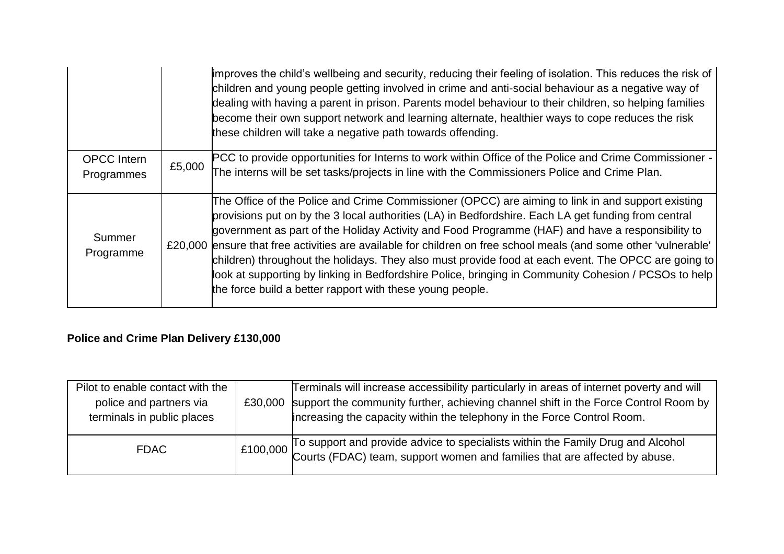|                     |        | improves the child's wellbeing and security, reducing their feeling of isolation. This reduces the risk of<br>children and young people getting involved in crime and anti-social behaviour as a negative way of<br>dealing with having a parent in prison. Parents model behaviour to their children, so helping families<br>become their own support network and learning alternate, healthier ways to cope reduces the risk<br>these children will take a negative path towards offending. |
|---------------------|--------|-----------------------------------------------------------------------------------------------------------------------------------------------------------------------------------------------------------------------------------------------------------------------------------------------------------------------------------------------------------------------------------------------------------------------------------------------------------------------------------------------|
| <b>OPCC</b> Intern  |        | PCC to provide opportunities for Interns to work within Office of the Police and Crime Commissioner -                                                                                                                                                                                                                                                                                                                                                                                         |
| Programmes          | £5,000 | The interns will be set tasks/projects in line with the Commissioners Police and Crime Plan.                                                                                                                                                                                                                                                                                                                                                                                                  |
|                     |        |                                                                                                                                                                                                                                                                                                                                                                                                                                                                                               |
|                     |        | The Office of the Police and Crime Commissioner (OPCC) are aiming to link in and support existing                                                                                                                                                                                                                                                                                                                                                                                             |
|                     |        | provisions put on by the 3 local authorities (LA) in Bedfordshire. Each LA get funding from central                                                                                                                                                                                                                                                                                                                                                                                           |
| Summer<br>Programme |        | government as part of the Holiday Activity and Food Programme (HAF) and have a responsibility to                                                                                                                                                                                                                                                                                                                                                                                              |
|                     |        | £20,000 ensure that free activities are available for children on free school meals (and some other 'vulnerable'                                                                                                                                                                                                                                                                                                                                                                              |
|                     |        | children) throughout the holidays. They also must provide food at each event. The OPCC are going to                                                                                                                                                                                                                                                                                                                                                                                           |
|                     |        | look at supporting by linking in Bedfordshire Police, bringing in Community Cohesion / PCSOs to help                                                                                                                                                                                                                                                                                                                                                                                          |
|                     |        | the force build a better rapport with these young people.                                                                                                                                                                                                                                                                                                                                                                                                                                     |
|                     |        |                                                                                                                                                                                                                                                                                                                                                                                                                                                                                               |

# **Police and Crime Plan Delivery £130,000**

| Pilot to enable contact with the<br>police and partners via<br>terminals in public places | £30,000 | Terminals will increase accessibility particularly in areas of internet poverty and will<br>support the community further, achieving channel shift in the Force Control Room by<br>increasing the capacity within the telephony in the Force Control Room. |
|-------------------------------------------------------------------------------------------|---------|------------------------------------------------------------------------------------------------------------------------------------------------------------------------------------------------------------------------------------------------------------|
| <b>FDAC</b>                                                                               |         | $\left\vert$ £100,000 To support and provide advice to specialists within the Family Drug and Alcohol<br>Courts (FDAC) team, support women and families that are affected by abuse.                                                                        |